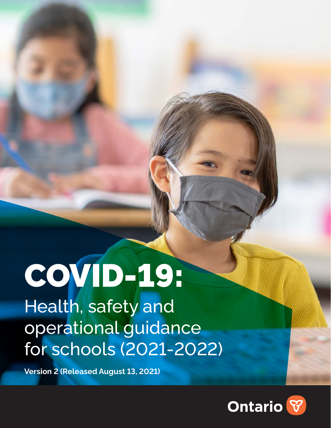# COVID-19:

Health, safety and operational guidance for schools (2021-2022)

**Version 2 (Released August 13, 2021)**

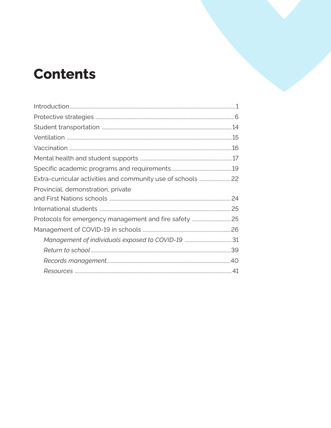# **Contents**

| Provincial, demonstration, private |  |
|------------------------------------|--|
|                                    |  |
|                                    |  |
|                                    |  |
|                                    |  |
|                                    |  |
|                                    |  |
|                                    |  |
|                                    |  |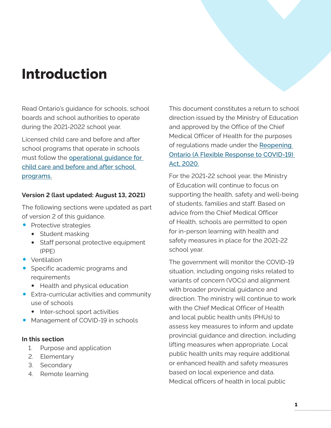# <span id="page-2-0"></span>**Introduction**

Read Ontario's guidance for schools, school boards and school authorities to operate during the 2021-2022 school year.

Licensed child care and before and after school programs that operate in schools must follow the [operational guidance for](http://ontario.ca/page/covid-19-health-and-safety-measures-child-care#section-3)  [child care and before and after school](http://ontario.ca/page/covid-19-health-and-safety-measures-child-care#section-3)  [programs.](http://ontario.ca/page/covid-19-health-and-safety-measures-child-care#section-3)

#### **Version 2 (last updated: August 13, 2021)**

The following sections were updated as part of version 2 of this guidance.

- Protective strategies
	- Student masking
	- Staff personal protective equipment (PPE)
- Ventilation
- Specific academic programs and requirements
	- Health and physical education
- Extra-curricular activities and community use of schools
	- Inter-school sport activities
- Management of COVID-19 in schools

#### **In this section**

- 1. [Purpose and application](#page-4-0)
- 2. [Elementary](#page-5-0)
- 3. [Secondary](#page-5-0)
- 4. [Remote learning](#page-5-0)

This document constitutes a return to school direction issued by the Ministry of Education and approved by the Office of the Chief Medical Officer of Health for the purposes of regulations made under the Reopening [Ontario \(A Flexible Response to COVID-19\)](https://www.ontario.ca/laws/statute/20r17)  Act, 2020.

For the 2021-22 school year, the Ministry of Education will continue to focus on supporting the health, safety and well-being of students, families and staff. Based on advice from the Chief Medical Officer of Health, schools are permitted to open for in-person learning with health and safety measures in place for the 2021-22 school year.

The government will monitor the COVID-19 situation, including ongoing risks related to variants of concern (VOCs) and alignment with broader provincial guidance and direction. The ministry will continue to work with the Chief Medical Officer of Health and local public health units (PHUs) to assess key measures to inform and update provincial guidance and direction, including lifting measures when appropriate. Local public health units may require additional or enhanced health and safety measures based on local experience and data. Medical officers of health in local public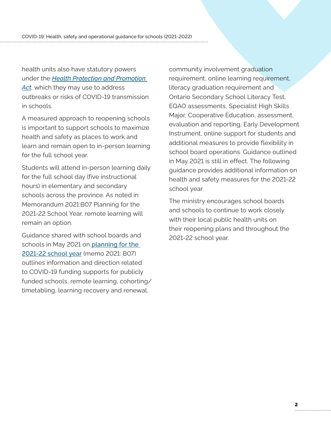health units also have statutory powers under the *[Health Protection and Promotion](https://www.ontario.ca/laws/statute/90h07)*  [Act](https://www.ontario.ca/laws/statute/90h07), which they may use to address outbreaks or risks of COVID-19 transmission in schools.

A measured approach to reopening schools is important to support schools to maximize health and safety as places to work and learn and remain open to in-person learning for the full school year.

Students will attend in-person learning daily for the full school day (five instructional hours) in elementary and secondary schools across the province. As noted in Memorandum [2021:B07 Planning for the](https://efis.fma.csc.gov.on.ca/faab/Memos/B2021/B07_EN.pdf)  [2021-22 School Year, remote l](https://efis.fma.csc.gov.on.ca/faab/Memos/B2021/B07_EN.pdf)earning will remain an option.

Guidance shared with school boards and schools in May 2021 on [planning for the](https://efis.fma.csc.gov.on.ca/faab/Memos/B2021/B07_EN.pdf)  [2021-22 school year](https://efis.fma.csc.gov.on.ca/faab/Memos/B2021/B07_EN.pdf) (memo 2021: B07) outlines information and direction related to COVID-19 funding supports for publicly funded schools, remote learning, cohorting/ timetabling, learning recovery and renewal,

community involvement graduation requirement, online learning requirement, literacy graduation requirement and Ontario Secondary School Literacy Test, EQAO assessments, Specialist High Skills Major, Cooperative Education, assessment, evaluation and reporting, Early Development Instrument, online support for students and additional measures to provide flexibility in school board operations. Guidance outlined in May 2021 is still in effect. The following guidance provides additional information on health and safety measures for the 2021-22 school year.

The ministry encourages school boards and schools to continue to work closely with their local public health units on their reopening plans and throughout the 2021-22 school year.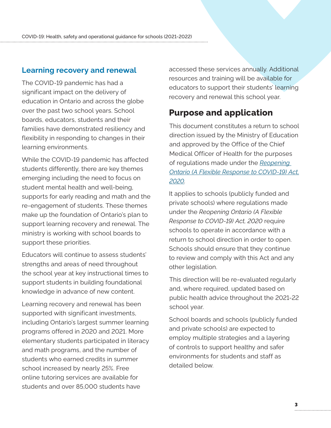#### <span id="page-4-0"></span>**Learning recovery and renewal**

The COVID-19 pandemic has had a significant impact on the delivery of education in Ontario and across the globe over the past two school years. School boards, educators, students and their families have demonstrated resiliency and flexibility in responding to changes in their learning environments.

While the COVID-19 pandemic has affected students differently, there are key themes emerging including the need to focus on student mental health and well-being, supports for early reading and math and the re-engagement of students. These themes make up the foundation of Ontario's plan to support learning recovery and renewal. The ministry is working with school boards to support these priorities.

Educators will continue to assess students' strengths and areas of need throughout the school year at key instructional times to support students in building foundational knowledge in advance of new content.

Learning recovery and renewal has been supported with significant investments, including Ontario's largest summer learning programs offered in 2020 and 2021. More elementary students participated in literacy and math programs, and the number of students who earned credits in summer school increased by nearly 25%. Free online tutoring services are available for students and over 85,000 students have

accessed these services annually. Additional resources and training will be available for educators to support their students' learning recovery and renewal this school year.

# **Purpose and application**

This document constitutes a return to school direction issued by the Ministry of Education and approved by the Office of the Chief Medical Officer of Health for the purposes of regulations made under the *[Reopening](https://www.ontario.ca/laws/statute/20r17)  [Ontario \(A Flexible Response to COVID-19\) Act,](https://www.ontario.ca/laws/statute/20r17)  [2020](https://www.ontario.ca/laws/statute/20r17).*

It applies to schools (publicly funded and private schools) where regulations made under the *Reopening Ontario (A Flexible Response to COVID-19) Act, 2020* require schools to operate in accordance with a return to school direction in order to open. Schools should ensure that they continue to review and comply with this Act and any other legislation.

This direction will be re-evaluated regularly and, where required, updated based on public health advice throughout the 2021-22 school year.

School boards and schools (publicly funded and private schools) are expected to employ multiple strategies and a layering of controls to support healthy and safer environments for students and staff as detailed below.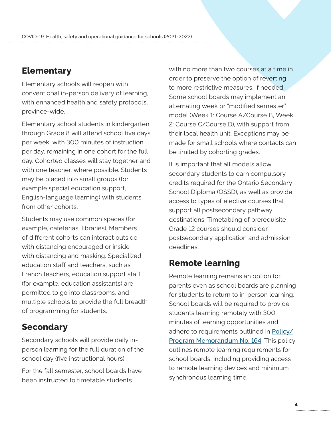# <span id="page-5-0"></span>**Elementary**

Elementary schools will reopen with conventional in-person delivery of learning, with enhanced health and safety protocols, province-wide.

Elementary school students in kindergarten through Grade 8 will attend school five days per week, with 300 minutes of instruction per day, remaining in one cohort for the full day. Cohorted classes will stay together and with one teacher, where possible. Students may be placed into small groups (for example special education support, English-language learning) with students from other cohorts.

Students may use common spaces (for example, cafeterias, libraries). Members of different cohorts can interact outside with distancing encouraged or inside with distancing and masking. Specialized education staff and teachers, such as French teachers, education support staff (for example, education assistants) are permitted to go into classrooms, and multiple schools to provide the full breadth of programming for students.

# **Secondary**

Secondary schools will provide daily inperson learning for the full duration of the school day (five instructional hours).

For the fall semester, school boards have been instructed to timetable students

with no more than two courses at a time in order to preserve the option of reverting to more restrictive measures, if needed. Some school boards may implement an alternating week or "modified semester" model (Week 1: Course A/Course B, Week 2: Course C/Course D), with support from their local health unit. Exceptions may be made for small schools where contacts can be limited by cohorting grades.

It is important that all models allow secondary students to earn compulsory credits required for the Ontario Secondary School Diploma (OSSD), as well as provide access to types of elective courses that support all postsecondary pathway destinations. Timetabling of prerequisite Grade 12 courses should consider postsecondary application and admission deadlines.

# **Remote learning**

Remote learning remains an option for parents even as school boards are planning for students to return to in-person learning. School boards will be required to provide students learning remotely with 300 minutes of learning opportunities and adhere to requirements outlined in [Policy/](http://ontario.ca/document/education-ontario-policy-and-program-direction/policyprogram-memorandum-164) [Program Memorandum No. 164](http://ontario.ca/document/education-ontario-policy-and-program-direction/policyprogram-memorandum-164). This policy outlines remote learning requirements for school boards, including providing access to remote learning devices and minimum synchronous learning time.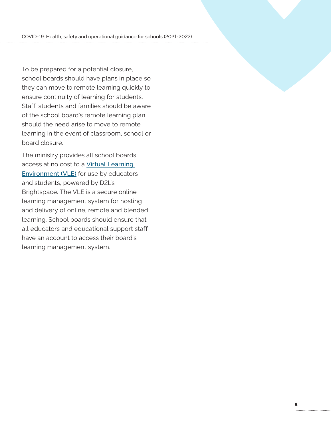To be prepared for a potential closure, school boards should have plans in place so they can move to remote learning quickly to ensure continuity of learning for students. Staff, students and families should be aware of the school board's remote learning plan should the need arise to move to remote learning in the event of classroom, school or board closure.

The ministry provides all school boards access at no cost to a [Virtual Learning](http://d2l.com/k-12/ontario)  **[Environment \(VLE\)](http://d2l.com/k-12/ontario)** for use by educators and students, powered by D2L's Brightspace. The VLE is a secure online learning management system for hosting and delivery of online, remote and blended learning. School boards should ensure that all educators and educational support staff have an account to access their board's learning management system.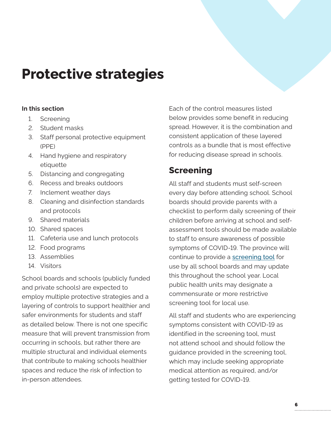# <span id="page-7-0"></span>**Protective strategies**

#### **In this section**

- 1. Screening
- 2. [Student masks](#page-8-0)
- 3. [Staff personal protective equipment](#page-9-0)  [\(PPE\)](#page-9-0)
- 4. [Hand hygiene and respiratory](#page-10-0)  [etiquette](#page-10-0)
- 5. [Distancing and congregating](#page-11-0)
- 6. [Recess and breaks outdoors](#page-11-0)
- 7. [Inclement weather days](#page-12-0)
- 8. [Cleaning and disinfection standards](#page-12-0)  [and protocols](#page-12-0)
- 9. [Shared materials](#page-13-0)
- 10. [Shared spaces](#page-13-0)
- 11. [Cafeteria use and lunch protocols](#page-13-0)
- 12. [Food programs](#page-13-0)
- 13. [Assemblies](#page-14-0)
- 14. [Visitors](#page-14-0)

School boards and schools (publicly funded and private schools) are expected to employ multiple protective strategies and a layering of controls to support healthier and safer environments for students and staff as detailed below. There is not one specific measure that will prevent transmission from occurring in schools, but rather there are multiple structural and individual elements that contribute to making schools healthier spaces and reduce the risk of infection to in-person attendees.

Each of the control measures listed below provides some benefit in reducing spread. However, it is the combination and consistent application of these layered controls as a bundle that is most effective for reducing disease spread in schools.

# **Screening**

All staff and students must self-screen every day before attending school. School boards should provide parents with a checklist to perform daily screening of their children before arriving at school and selfassessment tools should be made available to staff to ensure awareness of possible symptoms of COVID-19. The province will continue to provide a [screening tool](http://covid-19.ontario.ca/screen-covid-19-going-any-public-place) for use by all school boards and may update this throughout the school year. Local public health units may designate a commensurate or more restrictive screening tool for local use.

All staff and students who are experiencing symptoms consistent with COVID-19 as identified in the screening tool, must not attend school and should follow the guidance provided in the screening tool, which may include seeking appropriate medical attention as required, and/or getting tested for COVID-19.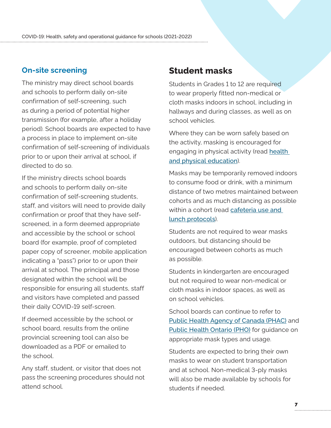#### <span id="page-8-0"></span>**On-site screening**

The ministry may direct school boards and schools to perform daily on-site confirmation of self-screening, such as during a period of potential higher transmission (for example, after a holiday period). School boards are expected to have a process in place to implement on-site confirmation of self-screening of individuals prior to or upon their arrival at school, if directed to do so.

If the ministry directs school boards and schools to perform daily on-site confirmation of self-screening students, staff, and visitors will need to provide daily confirmation or proof that they have selfscreened, in a form deemed appropriate and accessible by the school or school board (for example, proof of completed paper copy of screener, mobile application indicating a "pass") prior to or upon their arrival at school. The principal and those designated within the school will be responsible for ensuring all students, staff and visitors have completed and passed their daily COVID-19 self-screen.

If deemed accessible by the school or school board, results from the online provincial screening tool can also be downloaded as a PDF or emailed to the school.

Any staff, student, or visitor that does not pass the screening procedures should not attend school.

# **Student masks**

Students in Grades 1 to 12 are required to wear properly fitted non-medical or cloth masks indoors in school, including in hallways and during classes, as well as on school vehicles.

Where they can be worn safely based on the activity, masking is encouraged for engaging in physical activity (read health [and physical education](#page-21-0)).

Masks may be temporarily removed indoors to consume food or drink, with a minimum distance of two metres maintained between cohorts and as much distancing as possible within a cohort (read [cafeteria use and](#page-13-0)  [lunch protocols](#page-13-0)).

Students are not required to wear masks outdoors, but distancing should be encouraged between cohorts as much as possible.

Students in kindergarten are encouraged but not required to wear non-medical or cloth masks in indoor spaces, as well as on school vehicles.

School boards can continue to refer to [Public Health Agency of Canada \(PHAC\)](http://canada.ca/en/public-health/services/diseases/2019-novel-coronavirus-infection/prevention-risks/about-non-medical-masks-face-coverings.html) and [Public Health Ontario \(PHO\)](https://www.publichealthontario.ca/-/media/documents/ncov/factsheet/2020/05/factsheet-covid-19-non-medical-masks.pdf?la=en) for guidance on appropriate mask types and usage.

Students are expected to bring their own masks to wear on student transportation and at school. Non-medical 3-ply masks will also be made available by schools for students if needed.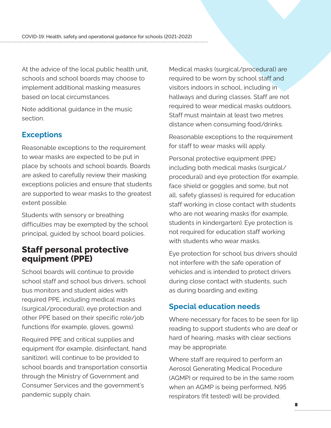<span id="page-9-0"></span>At the advice of the local public health unit, schools and school boards may choose to implement additional masking measures based on local circumstances.

[Note additional guidance in the music](#page-20-0)  [section.](#page-20-0)

# **Exceptions**

Reasonable exceptions to the requirement to wear masks are expected to be put in place by schools and school boards. Boards are asked to carefully review their masking exceptions policies and ensure that students are supported to wear masks to the greatest extent possible.

Students with sensory or breathing difficulties may be exempted by the school principal, guided by school board policies.

# **Staff personal protective equipment (PPE)**

School boards will continue to provide school staff and school bus drivers, school bus monitors and student aides with required PPE, including medical masks (surgical/procedural), eye protection and other PPE based on their specific role/job functions (for example, gloves, gowns).

Required PPE and critical supplies and equipment (for example, disinfectant, hand sanitizer), will continue to be provided to school boards and transportation consortia through the Ministry of Government and Consumer Services and the government's pandemic supply chain.

Medical masks (surgical/procedural) are required to be worn by school staff and visitors indoors in school, including in hallways and during classes. Staff are not required to wear medical masks outdoors. Staff must maintain at least two metres distance when consuming food/drinks.

Reasonable exceptions to the requirement for staff to wear masks will apply.

Personal protective equipment (PPE) including both medical masks (surgical/ procedural) and eye protection (for example, face shield or goggles and some, but not all, safety glasses) is required for education staff working in close contact with students who are not wearing masks (for example, students in kindergarten). Eye protection is not required for education staff working with students who wear masks.

Eye protection for school bus drivers should not interfere with the safe operation of vehicles and is intended to protect drivers during close contact with students, such as during boarding and exiting.

# **Special education needs**

Where necessary for faces to be seen for lip reading to support students who are deaf or hard of hearing, masks with clear sections may be appropriate.

Where staff are required to perform an Aerosol Generating Medical Procedure (AGMP) or required to be in the same room when an AGMP is being performed, N95 respirators (fit tested) will be provided.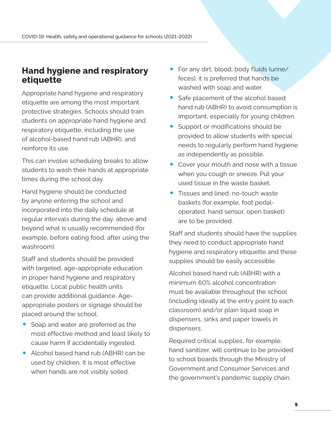# <span id="page-10-0"></span>**Hand hygiene and respiratory etiquette**

Appropriate hand hygiene and respiratory etiquette are among the most important protective strategies. Schools should train students on appropriate hand hygiene and respiratory etiquette, including the use of alcohol-based hand rub (ABHR), and reinforce its use.

This can involve scheduling breaks to allow students to wash their hands at appropriate times during the school day.

Hand hygiene should be conducted by anyone entering the school and incorporated into the daily schedule at regular intervals during the day, above and beyond what is usually recommended (for example, before eating food, after using the washroom).

Staff and students should be provided with targeted, age-appropriate education in proper hand hygiene and respiratory etiquette. Local public health units can provide additional guidance. Ageappropriate posters or signage should be placed around the school.

- Soap and water are preferred as the most effective method and least likely to cause harm if accidentally ingested.
- Alcohol based hand rub (ABHR) can be used by children. It is most effective when hands are not visibly soiled.
- For any dirt, blood, body fluids (urine/ feces), it is preferred that hands be washed with soap and water.
- Safe placement of the alcohol based hand rub (ABHR) to avoid consumption is important, especially for young children.
- Support or modifications should be provided to allow students with special needs to regularly perform hand hygiene as independently as possible.
- Cover your mouth and nose with a tissue when you cough or sneeze. Put your used tissue in the waste basket.
- Tissues and lined, no-touch waste baskets (for example, foot pedaloperated, hand sensor, open basket) are to be provided.

Staff and students should have the supplies they need to conduct appropriate hand hygiene and respiratory etiquette and these supplies should be easily accessible.

Alcohol based hand rub (ABHR) with a minimum 60% alcohol concentration must be available throughout the school (including ideally at the entry point to each classroom) and/or plain liquid soap in dispensers, sinks and paper towels in dispensers.

Required critical supplies, for example, hand sanitizer, will continue to be provided to school boards through the Ministry of Government and Consumer Services and the government's pandemic supply chain.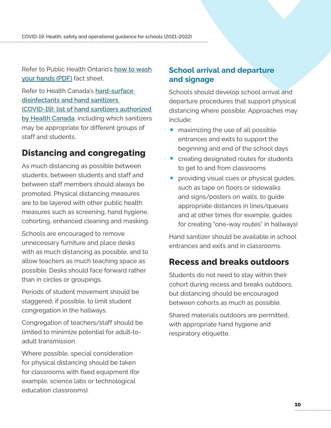<span id="page-11-0"></span>Refer to Public Health Ontario's [how to wash](https://www.publichealthontario.ca/-/media/documents/ncov/factsheet/factsheet-COVID-19-hand-hygiene.pdf?la=en)  [your hands \(PDF\)](https://www.publichealthontario.ca/-/media/documents/ncov/factsheet/factsheet-COVID-19-hand-hygiene.pdf?la=en) fact sheet.

Refer to Health Canada's [hard-surface](https://www.canada.ca/en/health-canada/services/drugs-health-products/disinfectants/covid-19.html)  [disinfectants and hand sanitizers](https://www.canada.ca/en/health-canada/services/drugs-health-products/disinfectants/covid-19.html)  [\(COVID-19\): list of hand sanitizers authorized](https://www.canada.ca/en/health-canada/services/drugs-health-products/disinfectants/covid-19.html)  [by Health Canada](https://www.canada.ca/en/health-canada/services/drugs-health-products/disinfectants/covid-19.html), including which sanitizers may be appropriate for different groups of staff and students.

# **Distancing and congregating**

As much distancing as possible between students, between students and staff and between staff members should always be promoted. Physical distancing measures are to be layered with other public health measures such as screening, hand hygiene, cohorting, enhanced cleaning and masking.

Schools are encouraged to remove unnecessary furniture and place desks with as much distancing as possible, and to allow teachers as much teaching space as possible. Desks should face forward rather than in circles or groupings.

Periods of student movement should be staggered, if possible, to limit student congregation in the hallways.

Congregation of teachers/staff should be limited to minimize potential for adult-toadult transmission.

Where possible, special consideration for physical distancing should be taken for classrooms with fixed equipment (for example, science labs or technological education classrooms).

### **School arrival and departure and signage**

Schools should develop school arrival and departure procedures that support physical distancing where possible. Approaches may include:

- maximizing the use of all possible entrances and exits to support the beginning and end of the school days
- creating designated routes for students to get to and from classrooms
- providing visual cues or physical guides, such as tape on floors or sidewalks and signs/posters on walls, to guide appropriate distances in lines/queues and at other times (for example, guides for creating "one-way routes" in hallways)

Hand sanitizer should be available in school entrances and exits and in classrooms.

# **Recess and breaks outdoors**

Students do not need to stay within their cohort during recess and breaks outdoors, but distancing should be encouraged between cohorts as much as possible.

Shared materials outdoors are permitted, with appropriate hand hygiene and respiratory etiquette.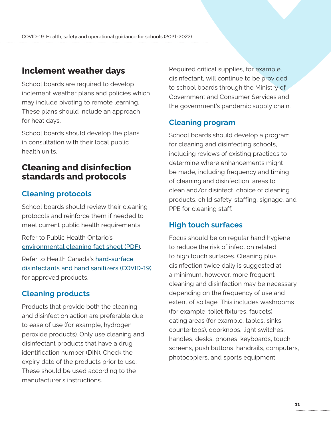# <span id="page-12-0"></span>**Inclement weather days**

School boards are required to develop inclement weather plans and policies which may include pivoting to remote learning. These plans should include an approach for heat days.

School boards should develop the plans in consultation with their local public health units.

# **Cleaning and disinfection standards and protocols**

### **Cleaning protocols**

School boards should review their cleaning protocols and reinforce them if needed to meet current public health requirements.

Refer to Public Health Ontario's [environmental cleaning fact sheet \(PDF\)](https://www.publichealthontario.ca/-/media/documents/ncov/factsheet-COVID-19-environmental-cleaning.pdf).

Refer to Health Canada's [hard-surface](https://www.canada.ca/en/health-canada/services/drugs-health-products/disinfectants/covid-19.html)  [disinfectants and hand sanitizers \(COVID-19](https://www.canada.ca/en/health-canada/services/drugs-health-products/disinfectants/covid-19.html)) for approved products.

# **Cleaning products**

Products that provide both the cleaning and disinfection action are preferable due to ease of use (for example, hydrogen peroxide products). Only use cleaning and disinfectant products that have a drug identification number (DIN). Check the expiry date of the products prior to use. These should be used according to the manufacturer's instructions.

Required critical supplies, for example, disinfectant, will continue to be provided to school boards through the Ministry of Government and Consumer Services and the government's pandemic supply chain.

#### **Cleaning program**

School boards should develop a program for cleaning and disinfecting schools, including reviews of existing practices to determine where enhancements might be made, including frequency and timing of cleaning and disinfection, areas to clean and/or disinfect, choice of cleaning products, child safety, staffing, signage, and PPE for cleaning staff.

#### **High touch surfaces**

Focus should be on regular hand hygiene to reduce the risk of infection related to high touch surfaces. Cleaning plus disinfection twice daily is suggested at a minimum, however, more frequent cleaning and disinfection may be necessary, depending on the frequency of use and extent of soilage. This includes washrooms (for example, toilet fixtures, faucets), eating areas (for example, tables, sinks, countertops), doorknobs, light switches, handles, desks, phones, keyboards, touch screens, push buttons, handrails, computers, photocopiers, and sports equipment.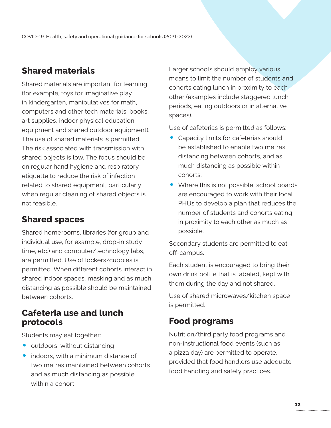# <span id="page-13-0"></span>**Shared materials**

Shared materials are important for learning (for example, toys for imaginative play in kindergarten, manipulatives for math, computers and other tech materials, books, art supplies, indoor physical education equipment and shared outdoor equipment). The use of shared materials is permitted. The risk associated with transmission with shared objects is low. The focus should be on regular hand hygiene and respiratory etiquette to reduce the risk of infection related to shared equipment, particularly when regular cleaning of shared objects is not feasible.

# **Shared spaces**

Shared homerooms, libraries (for group and individual use, for example, drop-in study time, etc.) and computer/technology labs, are permitted. Use of lockers/cubbies is permitted. When different cohorts interact in shared indoor spaces, masking and as much distancing as possible should be maintained between cohorts.

# **Cafeteria use and lunch protocols**

Students may eat together:

- outdoors, without distancing
- indoors, with a minimum distance of two metres maintained between cohorts and as much distancing as possible within a cohort.

Larger schools should employ various means to limit the number of students and cohorts eating lunch in proximity to each other (examples include staggered lunch periods, eating outdoors or in alternative spaces).

Use of cafeterias is permitted as follows:

- Capacity limits for cafeterias should be established to enable two metres distancing between cohorts, and as much distancing as possible within cohorts.
- Where this is not possible, school boards are encouraged to work with their local PHUs to develop a plan that reduces the number of students and cohorts eating in proximity to each other as much as possible.

Secondary students are permitted to eat off-campus.

Each student is encouraged to bring their own drink bottle that is labeled, kept with them during the day and not shared.

Use of shared microwaves/kitchen space is permitted.

# **Food programs**

Nutrition/third party food programs and non-instructional food events (such as a pizza day) are permitted to operate, provided that food handlers use adequate food handling and safety practices.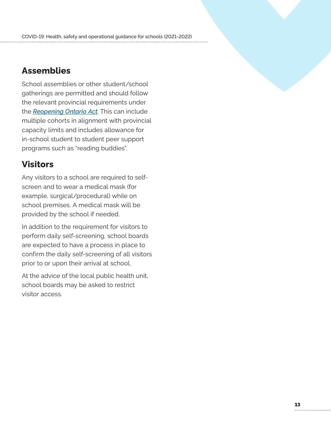# <span id="page-14-0"></span>**Assemblies**

School assemblies or other student/school gatherings are permitted and should follow the relevant provincial requirements under the *[Reopening Ontario Act](https://www.ontario.ca/laws/statute/20r17)*. This can include multiple cohorts in alignment with provincial capacity limits and includes allowance for in-school student to student peer support programs such as "reading buddies".

# **Visitors**

Any visitors to a school are required to selfscreen and to wear a medical mask (for example, surgical/procedural) while on school premises. A medical mask will be provided by the school if needed.

In addition to the requirement for visitors to perform daily self-screening, school boards are expected to have a process in place to confirm the daily self-screening of all visitors prior to or upon their arrival at school.

At the advice of the local public health unit, school boards may be asked to restrict visitor access.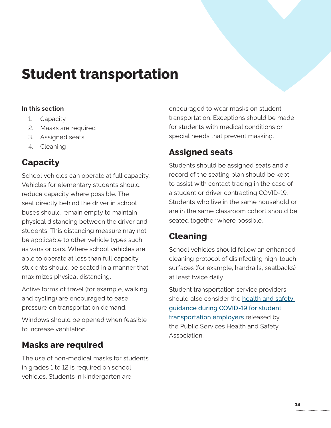# <span id="page-15-0"></span>**Student transportation**

#### **In this section**

- 1. Capacity
- 2. Masks are required
- 3. Assigned seats
- 4. Cleaning

# **Capacity**

School vehicles can operate at full capacity. Vehicles for elementary students should reduce capacity where possible. The seat directly behind the driver in school buses should remain empty to maintain physical distancing between the driver and students. This distancing measure may not be applicable to other vehicle types such as vans or cars. Where school vehicles are able to operate at less than full capacity, students should be seated in a manner that maximizes physical distancing.

Active forms of travel (for example, walking and cycling) are encouraged to ease pressure on transportation demand.

Windows should be opened when feasible to increase ventilation.

# **Masks are required**

The use of non-medical masks for students in grades 1 to 12 is required on school vehicles. Students in kindergarten are

encouraged to wear masks on student transportation. Exceptions should be made for students with medical conditions or special needs that prevent masking.

# **Assigned seats**

Students should be assigned seats and a record of the seating plan should be kept to assist with contact tracing in the case of a student or driver contracting COVID-19. Students who live in the same household or are in the same classroom cohort should be seated together where possible.

# **Cleaning**

School vehicles should follow an enhanced cleaning protocol of disinfecting high-touch surfaces (for example, handrails, seatbacks) at least twice daily.

Student transportation service providers should also consider the health and safety [guidance during COVID-19 for student](https://www.pshsa.ca/resources/health-and-safety-guidance-during-covid-19-for-student-transportation-employer)  [transportation employers](https://www.pshsa.ca/resources/health-and-safety-guidance-during-covid-19-for-student-transportation-employer) released by the Public Services Health and Safety Association.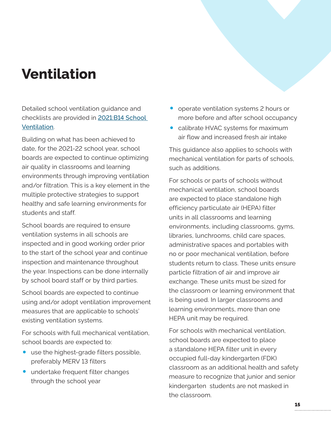# <span id="page-16-0"></span>**Ventilation**

Detailed school ventilation guidance and checklists are provided in [2021:B14 School](https://efis.fma.csc.gov.on.ca/faab/Memos/B2021/B14_EN.pdf)  [Ventilation](https://efis.fma.csc.gov.on.ca/faab/Memos/B2021/B14_EN.pdf).

Building on what has been achieved to date, for the 2021-22 school year, school boards are expected to continue optimizing air quality in classrooms and learning environments through improving ventilation and/or filtration. This is a key element in the multiple protective strategies to support healthy and safe learning environments for students and staff.

School boards are required to ensure ventilation systems in all schools are inspected and in good working order prior to the start of the school year and continue inspection and maintenance throughout the year. Inspections can be done internally by school board staff or by third parties.

School boards are expected to continue using and/or adopt ventilation improvement measures that are applicable to schools' existing ventilation systems.

For schools with full mechanical ventilation, school boards are expected to:

- use the highest-grade filters possible, preferably MERV 13 filters
- undertake frequent filter changes through the school year
- operate ventilation systems 2 hours or more before and after school occupancy
- calibrate HVAC systems for maximum air flow and increased fresh air intake

This guidance also applies to schools with mechanical ventilation for parts of schools, such as additions.

For schools or parts of schools without mechanical ventilation, school boards are expected to place standalone high efficiency particulate air (HEPA) filter units in all classrooms and learning environments, including classrooms, gyms, libraries, lunchrooms, child care spaces, administrative spaces and portables with no or poor mechanical ventilation, before students return to class. These units ensure particle filtration of air and improve air exchange. These units must be sized for the classroom or learning environment that is being used. In larger classrooms and learning environments, more than one HEPA unit may be required.

For schools with mechanical ventilation, school boards are expected to place a standalone HEPA filter unit in every occupied full-day kindergarten (FDK) classroom as an additional health and safety measure to recognize that junior and senior kindergarten students are not masked in the classroom.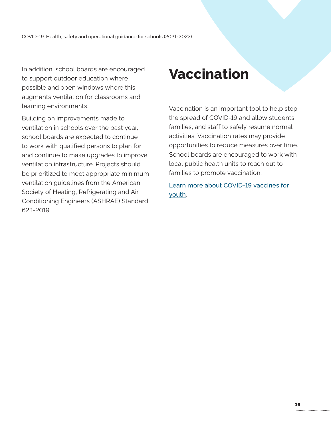<span id="page-17-0"></span>In addition, school boards are encouraged to support outdoor education where possible and open windows where this augments ventilation for classrooms and learning environments.

Building on improvements made to ventilation in schools over the past year, school boards are expected to continue to work with qualified persons to plan for and continue to make upgrades to improve ventilation infrastructure. Projects should be prioritized to meet appropriate minimum ventilation guidelines from the American Society of Heating, Refrigerating and Air Conditioning Engineers (ASHRAE) Standard 62.1-2019.

# **Vaccination**

Vaccination is an important tool to help stop the spread of COVID-19 and allow students, families, and staff to safely resume normal activities. Vaccination rates may provide opportunities to reduce measures over time. School boards are encouraged to work with local public health units to reach out to families to promote vaccination.

[Learn more about COVID-19 vaccines for](http://covid-19.ontario.ca/covid-19-vaccines-youth)  [youth](http://covid-19.ontario.ca/covid-19-vaccines-youth).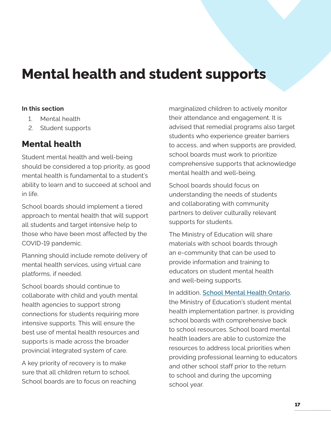# <span id="page-18-0"></span>**Mental health and student supports**

#### **In this section**

- 1. Mental health
- 2. [Student supports](#page-19-0)

# **Mental health**

Student mental health and well-being should be considered a top priority, as good mental health is fundamental to a student's ability to learn and to succeed at school and in life.

School boards should implement a tiered approach to mental health that will support all students and target intensive help to those who have been most affected by the COVID-19 pandemic.

Planning should include remote delivery of mental health services, using virtual care platforms, if needed.

School boards should continue to collaborate with child and youth mental health agencies to support strong connections for students requiring more intensive supports. This will ensure the best use of mental health resources and supports is made across the broader provincial integrated system of care.

A key priority of recovery is to make sure that all children return to school. School boards are to focus on reaching marginalized children to actively monitor their attendance and engagement. It is advised that remedial programs also target students who experience greater barriers to access, and when supports are provided, school boards must work to prioritize comprehensive supports that acknowledge mental health and well-being.

School boards should focus on understanding the needs of students and collaborating with community partners to deliver culturally relevant supports for students.

The Ministry of Education will share materials with school boards through an e-community that can be used to provide information and training to educators on student mental health and well-being supports.

In addition, [School Mental Health Ontario](http://smho-smso.ca), the Ministry of Education's student mental health implementation partner, is providing school boards with comprehensive back to school resources. School board mental health leaders are able to customize the resources to address local priorities when providing professional learning to educators and other school staff prior to the return to school and during the upcoming school year.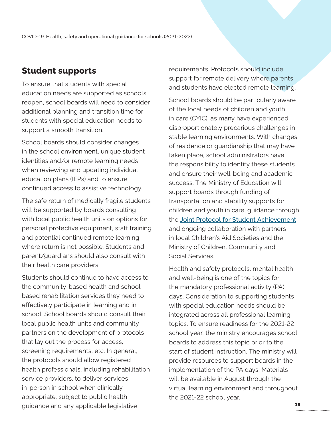# <span id="page-19-0"></span>**Student supports**

To ensure that students with special education needs are supported as schools reopen, school boards will need to consider additional planning and transition time for students with special education needs to support a smooth transition.

School boards should consider changes in the school environment, unique student identities and/or remote learning needs when reviewing and updating individual education plans (IEPs) and to ensure continued access to assistive technology.

The safe return of medically fragile students will be supported by boards consulting with local public health units on options for personal protective equipment, staff training and potential continued remote learning where return is not possible. Students and parent/guardians should also consult with their health care providers.

Students should continue to have access to the community-based health and schoolbased rehabilitation services they need to effectively participate in learning and in school. School boards should consult their local public health units and community partners on the development of protocols that lay out the process for access, screening requirements, etc. In general, the protocols should allow registered health professionals, including rehabilitation service providers, to deliver services in-person in school when clinically appropriate, subject to public health guidance and any applicable legislative

requirements. Protocols should include support for remote delivery where parents and students have elected remote learning.

School boards should be particularly aware of the local needs of children and youth in care (CYIC), as many have experienced disproportionately precarious challenges in stable learning environments. With changes of residence or guardianship that may have taken place, school administrators have the responsibility to identify these students and ensure their well-being and academic success. The Ministry of Education will support boards through funding of transportation and stability supports for children and youth in care, guidance through the [Joint Protocol for Student Achievement](http://edu.gov.on.ca/eng/policyfunding/memos/feb2015/JPSA2015appA.pdf), and ongoing collaboration with partners in local Children's Aid Societies and the Ministry of Children, Community and Social Services.

Health and safety protocols, mental health and well-being is one of the topics for the mandatory professional activity (PA) days. Consideration to supporting students with special education needs should be integrated across all professional learning topics. To ensure readiness for the 2021-22 school year, the ministry encourages school boards to address this topic prior to the start of student instruction. The ministry will provide resources to support boards in the implementation of the PA days. Materials will be available in August through the virtual learning environment and throughout the 2021-22 school year.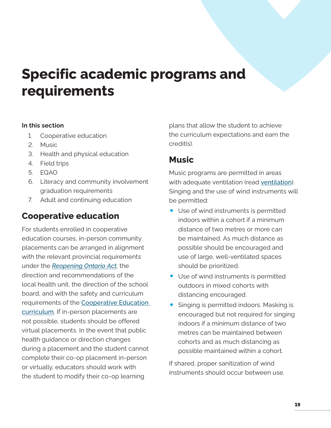# <span id="page-20-0"></span>**Specific academic programs and requirements**

#### **In this section**

- 1. Cooperative education
- 2. Music
- 3. [Health and physical education](#page-21-0)
- 4. [Field trips](#page-21-0)
- 5. [EQAO](#page-21-0)
- 6. [Literacy and community involvement](#page-22-0)  [graduation requirements](#page-22-0)
- 7. [Adult and continuing education](#page-22-0)

# **Cooperative education**

For students enrolled in cooperative education courses, in-person community placements can be arranged in alignment with the relevant provincial requirements under the *[Reopening Ontario Act](http://ontario.ca/laws/statute/20r17)*, the direction and recommendations of the local health unit, the direction of the school board, and with the safety and curriculum requirements of the [Cooperative Education](http://www.edu.gov.on.ca/eng/curriculum/secondary/cooperative-education-2018.pdf)  [curriculum](http://www.edu.gov.on.ca/eng/curriculum/secondary/cooperative-education-2018.pdf). If in-person placements are not possible, students should be offered virtual placements. In the event that public health guidance or direction changes during a placement and the student cannot complete their co-op placement in-person or virtually, educators should work with the student to modify their co-op learning

plans that allow the student to achieve the curriculum expectations and earn the credit(s).

### **Music**

Music programs are permitted in areas with adequate ventilation (read [ventilation](#page-16-0)). Singing and the use of wind instruments will be permitted:

- Use of wind instruments is permitted indoors within a cohort if a minimum distance of two metres or more can be maintained. As much distance as possible should be encouraged and use of large, well-ventilated spaces should be prioritized.
- Use of wind instruments is permitted outdoors in mixed cohorts with distancing encouraged.
- Singing is permitted indoors. Masking is encouraged but not required for singing indoors if a minimum distance of two metres can be maintained between cohorts and as much distancing as possible maintained within a cohort.

If shared, proper sanitization of wind instruments should occur between use.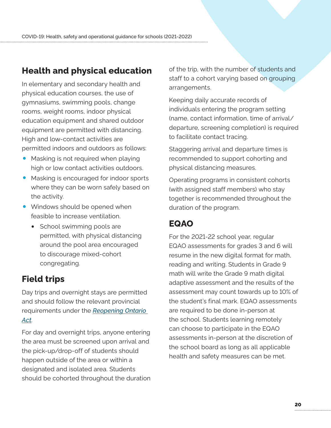# <span id="page-21-0"></span>**Health and physical education**

In elementary and secondary health and physical education courses, the use of gymnasiums, swimming pools, change rooms, weight rooms, indoor physical education equipment and shared outdoor equipment are permitted with distancing. High and low-contact activities are permitted indoors and outdoors as follows:

- Masking is not required when playing high or low contact activities outdoors.
- Masking is encouraged for indoor sports where they can be worn safely based on the activity.
- Windows should be opened when feasible to increase ventilation.
	- School swimming pools are permitted, with physical distancing around the pool area encouraged to discourage mixed-cohort congregating.

# **Field trips**

Day trips and overnight stays are permitted and should follow the relevant provincial requirements under the *[Reopening Ontario](http://ontario.ca/laws/statute/20r17)  [Act](http://ontario.ca/laws/statute/20r17)*.

For day and overnight trips, anyone entering the area must be screened upon arrival and the pick-up/drop-off of students should happen outside of the area or within a designated and isolated area. Students should be cohorted throughout the duration of the trip, with the number of students and staff to a cohort varying based on grouping arrangements.

Keeping daily accurate records of individuals entering the program setting (name, contact information, time of arrival/ departure, screening completion) is required to facilitate contact tracing.

Staggering arrival and departure times is recommended to support cohorting and physical distancing measures.

Operating programs in consistent cohorts (with assigned staff members) who stay together is recommended throughout the duration of the program.

# **EQAO**

For the 2021-22 school year, regular EQAO assessments for grades 3 and 6 will resume in the new digital format for math, reading and writing. Students in Grade 9 math will write the Grade 9 math digital adaptive assessment and the results of the assessment may count towards up to 10% of the student's final mark. EQAO assessments are required to be done in-person at the school. Students learning remotely can choose to participate in the EQAO assessments in-person at the discretion of the school board as long as all applicable health and safety measures can be met.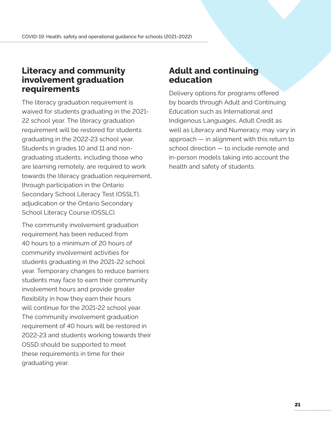# <span id="page-22-0"></span>**Literacy and community involvement graduation requirements**

The literacy graduation requirement is waived for students graduating in the 2021- 22 school year. The literacy graduation requirement will be restored for students graduating in the 2022-23 school year. Students in grades 10 and 11 and nongraduating students, including those who are learning remotely, are required to work towards the literacy graduation requirement, through participation in the Ontario Secondary School Literacy Test (OSSLT), adjudication or the Ontario Secondary School Literacy Course (OSSLC).

The community involvement graduation requirement has been reduced from 40 hours to a minimum of 20 hours of community involvement activities for students graduating in the 2021-22 school year. Temporary changes to reduce barriers students may face to earn their community involvement hours and provide greater flexibility in how they earn their hours will continue for the 2021-22 school year. The community involvement graduation requirement of 40 hours will be restored in 2022-23 and students working towards their OSSD should be supported to meet these requirements in time for their graduating year.

# **Adult and continuing education**

Delivery options for programs offered by boards through Adult and Continuing Education such as International and Indigenous Languages, Adult Credit as well as Literacy and Numeracy, may vary in approach — in alignment with this return to school direction — to include remote and in-person models taking into account the health and safety of students.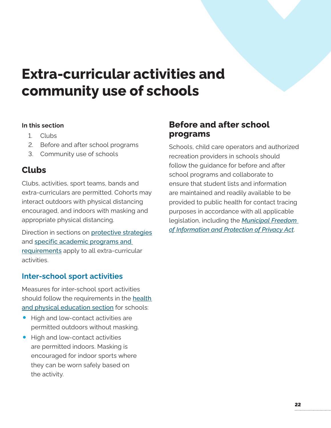# <span id="page-23-0"></span>**Extra-curricular activities and community use of schools**

#### **In this section**

- 1. Clubs
- 2. Before and after school programs
- 3. [Community use of schools](#page-24-0)

# **Clubs**

Clubs, activities, sport teams, bands and extra-curriculars are permitted. Cohorts may interact outdoors with physical distancing encouraged, and indoors with masking and appropriate physical distancing.

Direction in sections on [protective strategies](#page-7-0) and [specific academic programs and](#page-20-0)  [requirements](#page-20-0) apply to all extra-curricular activities.

### **Inter-school sport activities**

Measures for inter-school sport activities should follow the requirements in the [health](#page-21-0)  [and physical education](#page-21-0) section for schools:

- High and low-contact activities are permitted outdoors without masking.
- High and low-contact activities are permitted indoors. Masking is encouraged for indoor sports where they can be worn safely based on the activity.

# **Before and after school programs**

Schools, child care operators and authorized recreation providers in schools should follow the guidance for before and after school programs and collaborate to ensure that student lists and information are maintained and readily available to be provided to public health for contact tracing purposes in accordance with all applicable legislation, including the *[Municipal Freedom](https://www.ontario.ca/laws/statute/90m56)  [of Information and Protection of Privacy Act](https://www.ontario.ca/laws/statute/90m56)*.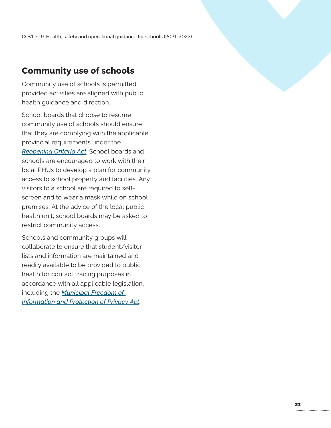### <span id="page-24-0"></span>**Community use of schools**

Community use of schools is permitted provided activities are aligned with public health guidance and direction.

School boards that choose to resume community use of schools should ensure that they are complying with the applicable provincial requirements under the *[Reopening Ontario Act](http://ontario.ca/laws/statute/20r17)*. School boards and schools are encouraged to work with their local PHUs to develop a plan for community access to school property and facilities. Any visitors to a school are required to selfscreen and to wear a mask while on school premises. At the advice of the local public health unit, school boards may be asked to restrict community access.

Schools and community groups will collaborate to ensure that student/visitor lists and information are maintained and readily available to be provided to public health for contact tracing purposes in accordance with all applicable legislation, including the *[Municipal Freedom of](https://www.ontario.ca/laws/statute/90m56)  [Information and Protection of Privacy Act](https://www.ontario.ca/laws/statute/90m56)*.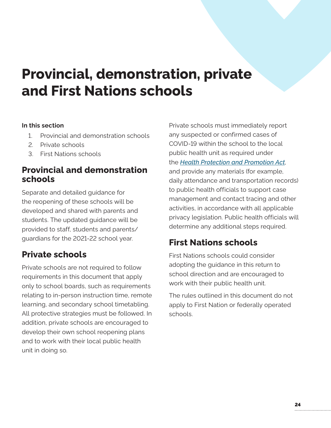# <span id="page-25-0"></span>**Provincial, demonstration, private and First Nations schools**

#### **In this section**

- 1. Provincial and demonstration schools
- 2. Private schools
- 3. First Nations schools

# **Provincial and demonstration schools**

Separate and detailed guidance for the reopening of these schools will be developed and shared with parents and students. The updated guidance will be provided to staff, students and parents/ guardians for the 2021-22 school year.

# **Private schools**

Private schools are not required to follow requirements in this document that apply only to school boards, such as requirements relating to in-person instruction time, remote learning, and secondary school timetabling. All protective strategies must be followed. In addition, private schools are encouraged to develop their own school reopening plans and to work with their local public health unit in doing so.

Private schools must immediately report any suspected or confirmed cases of COVID-19 within the school to the local public health unit as required under the *[Health Protection and Promotion Act](https://www.ontario.ca/laws/statute/90h07)*, and provide any materials (for example, daily attendance and transportation records) to public health officials to support case management and contact tracing and other activities, in accordance with all applicable privacy legislation. Public health officials will determine any additional steps required.

# **First Nations schools**

First Nations schools could consider adopting the guidance in this return to school direction and are encouraged to work with their public health unit.

The rules outlined in this document do not apply to First Nation or federally operated schools.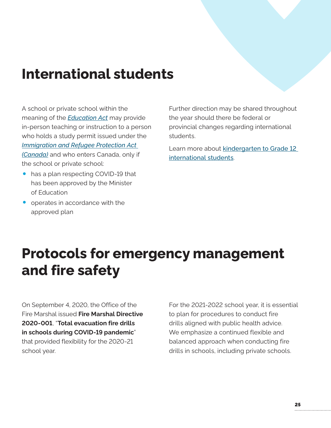# <span id="page-26-0"></span>**International students**

A school or private school within the meaning of the *[Education Act](https://www.ontario.ca/laws/statute/90e02)* may provide in-person teaching or instruction to a person who holds a study permit issued under the *[Immigration and Refugee Protection Act](https://laws.justice.gc.ca/eng/acts/i-2.5/)  [\(Canada\)](https://laws.justice.gc.ca/eng/acts/i-2.5/)* and who enters Canada, only if the school or private school:

- has a plan respecting COVID-19 that has been approved by the Minister of Education
- operates in accordance with the approved plan

Further direction may be shared throughout the year should there be federal or provincial changes regarding international students.

Learn more about kindergarten to Grade 12 [international students](http://www.edu.gov.on.ca/eng/parents/welcoming_international_students.html).

# **Protocols for emergency management and fire safety**

On September 4, 2020, the Office of the Fire Marshal issued **Fire Marshal Directive 2020-001**, "**Total evacuation fire drills in schools during COVID-19 pandemic**" that provided flexibility for the 2020-21 school year.

For the 2021-2022 school year, it is essential to plan for procedures to conduct fire drills aligned with public health advice. We emphasize a continued flexible and balanced approach when conducting fire drills in schools, including private schools.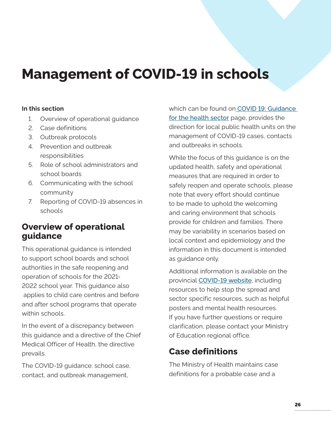# <span id="page-27-0"></span>**Management of COVID-19 in schools**

#### **In this section**

- 1. Overview of operational guidance
- 2. Case definitions
- 3. Outbreak protocols
- 4. Prevention and outbreak responsibilities
- 5. Role of school administrators and school boards
- 6. Communicating with the school community
- 7. Reporting of COVID-19 absences in schools

# **Overview of operational guidance**

This operational guidance is intended to support school boards and school authorities in the safe reopening and operation of schools for the 2021- 2022 school year. This guidance also applies to child care centres and before and after school programs that operate within schools.

In the event of a discrepancy between this guidance and a directive of the Chief Medical Officer of Health, the directive prevails.

The COVID-19 guidance: school case, contact, and outbreak management,

which can be found on [COVID 19: Guidance](http://www.health.gov.on.ca/en/pro/programs/publichealth/coronavirus/2019_guidance.aspx#other)  [for the health sector](http://www.health.gov.on.ca/en/pro/programs/publichealth/coronavirus/2019_guidance.aspx#other) page, provides the direction for local public health units on the management of COVID-19 cases, contacts and outbreaks in schools.

While the focus of this guidance is on the updated health, safety and operational measures that are required in order to safely reopen and operate schools, please note that every effort should continue to be made to uphold the welcoming and caring environment that schools provide for children and families. There may be variability in scenarios based on local context and epidemiology and the information in this document is intended as guidance only.

Additional information is available on the provincial [COVID-19 website](https://covid-19.ontario.ca/), including resources to help stop the spread and sector specific resources, such as helpful posters and mental health resources. If you have further questions or require clarification, please contact your Ministry of Education regional office.

# **Case definitions**

The Ministry of Health maintains case definitions for a probable case and a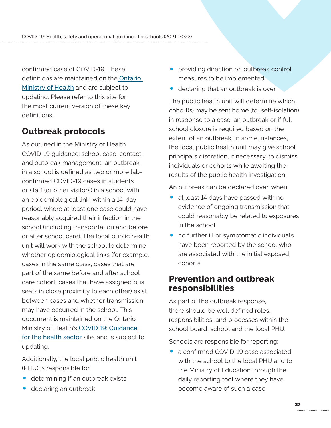confirmed case of COVID-19. These definitions are maintained on the [Ontario](http://www.health.gov.on.ca/en/pro/programs/publichealth/coronavirus/2019_guidance.aspx#case)  [Ministry of Health](http://www.health.gov.on.ca/en/pro/programs/publichealth/coronavirus/2019_guidance.aspx#case) and are subject to updating. Please refer to this site for the most current version of these key definitions.

# **Outbreak protocols**

As outlined in the Ministry of Health COVID-19 guidance: school case, contact, and outbreak management, an outbreak in a school is defined as two or more labconfirmed COVID-19 cases in students or staff (or other visitors) in a school with an epidemiological link, within a 14-day period, where at least one case could have reasonably acquired their infection in the school (including transportation and before or after school care). The local public health unit will work with the school to determine whether epidemiological links (for example, cases in the same class, cases that are part of the same before and after school care cohort, cases that have assigned bus seats in close proximity to each other) exist between cases and whether transmission may have occurred in the school. This document is maintained on the Ontario Ministry of Health's [COVID 19: Guidance](http://www.health.gov.on.ca/en/pro/programs/publichealth/coronavirus/2019_guidance.aspx#other)  [for the health sector](http://www.health.gov.on.ca/en/pro/programs/publichealth/coronavirus/2019_guidance.aspx#other) site, and is subject to updating.

Additionally, the local public health unit (PHU) is responsible for:

- determining if an outbreak exists
- declaring an outbreak
- providing direction on outbreak control measures to be implemented
- declaring that an outbreak is over

The public health unit will determine which cohort(s) may be sent home (for self-isolation) in response to a case, an outbreak or if full school closure is required based on the extent of an outbreak. In some instances, the local public health unit may give school principals discretion, if necessary, to dismiss individuals or cohorts while awaiting the results of the public health investigation.

An outbreak can be declared over, when:

- at least 14 days have passed with no evidence of ongoing transmission that could reasonably be related to exposures in the school
- no further ill or symptomatic individuals have been reported by the school who are associated with the initial exposed cohorts

# **Prevention and outbreak responsibilities**

As part of the outbreak response, there should be well defined roles, responsibilities, and processes within the school board, school and the local PHU.

Schools are responsible for reporting:

• a confirmed COVID-19 case associated with the school to the local PHU and to the Ministry of Education through the daily reporting tool where they have become aware of such a case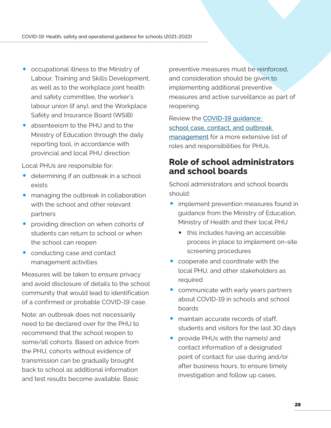- occupational illness to the Ministry of Labour, Training and Skills Development, as well as to the workplace joint health and safety committee, the worker's labour union (if any), and the Workplace Safety and Insurance Board (WSIB)
- absenteeism to the PHU and to the Ministry of Education through the daily reporting tool, in accordance with provincial and local PHU direction

Local PHUs are responsible for:

- determining if an outbreak in a school exists
- managing the outbreak in collaboration with the school and other relevant partners
- providing direction on when cohorts of students can return to school or when the school can reopen
- conducting case and contact management activities

Measures will be taken to ensure privacy and avoid disclosure of details to the school community that would lead to identification of a confirmed or probable COVID-19 case.

Note: an outbreak does not necessarily need to be declared over for the PHU to recommend that the school reopen to some/all cohorts. Based on advice from the PHU, cohorts without evidence of transmission can be gradually brought back to school as additional information and test results become available. Basic

preventive measures must be reinforced, and consideration should be given to implementing additional preventive measures and active surveillance as part of reopening.

Review the [COVID-19 guidance:](https://www.health.gov.on.ca/en/pro/programs/publichealth/coronavirus/2019_guidance.aspx#other)  [school case, contact, and outbreak](https://www.health.gov.on.ca/en/pro/programs/publichealth/coronavirus/2019_guidance.aspx#other)  [management](https://www.health.gov.on.ca/en/pro/programs/publichealth/coronavirus/2019_guidance.aspx#other) for a more extensive list of roles and responsibilities for PHUs.

### **Role of school administrators and school boards**

School administrators and school boards should:

- implement prevention measures found in guidance from the Ministry of Education, Ministry of Health and their local PHU
	- this includes having an accessible process in place to implement on-site screening procedures
- cooperate and coordinate with the local PHU, and other stakeholders as required
- communicate with early years partners about COVID-19 in schools and school boards
- maintain accurate records of staff. students and visitors for the last 30 days
- provide PHUs with the name(s) and contact information of a designated point of contact for use during and/or after business hours, to ensure timely investigation and follow up cases,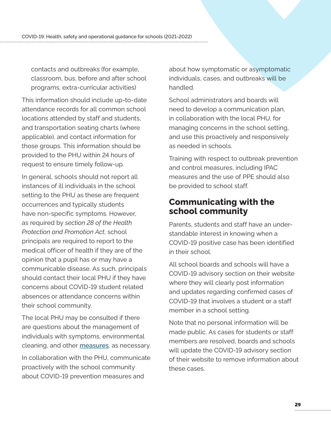contacts and outbreaks (for example, classroom, bus, before and after school programs, extra-curricular activities)

This information should include up-to-date attendance records for all common school locations attended by staff and students, and transportation seating charts (where applicable), and contact information for those groups. This information should be provided to the PHU within 24 hours of request to ensure timely follow-up.

In general, schools should not report all instances of ill individuals in the school setting to the PHU as these are frequent occurrences and typically students have non-specific symptoms. However, as required by *section 28 of the Health Protection and Promotion Act*, school principals are required to report to the medical officer of health if they are of the opinion that a pupil has or may have a communicable disease. As such, principals should contact their local PHU if they have concerns about COVID-19 student related absences or attendance concerns within their school community.

The local PHU may be consulted if there are questions about the management of individuals with symptoms, environmental cleaning, and other [measures](https://www.publichealthontario.ca/-/media/documents/ncov/sch/2020/09/covid-19-checklist-preparedness-schools.pdf?sc_lang=en), as necessary.

In collaboration with the PHU, communicate proactively with the school community about COVID-19 prevention measures and

about how symptomatic or asymptomatic individuals, cases, and outbreaks will be handled.

School administrators and boards will need to develop a communication plan, in collaboration with the local PHU, for managing concerns in the school setting, and use this proactively and responsively as needed in schools.

Training with respect to outbreak prevention and control measures, including IPAC measures and the use of PPE should also be provided to school staff.

### **Communicating with the school community**

Parents, students and staff have an understandable interest in knowing when a COVID-19 positive case has been identified in their school.

All school boards and schools will have a COVID-19 advisory section on their website where they will clearly post information and updates regarding confirmed cases of COVID-19 that involves a student or a staff member in a school setting.

Note that no personal information will be made public. As cases for students or staff members are resolved, boards and schools will update the COVID-19 advisory section of their website to remove information about these cases.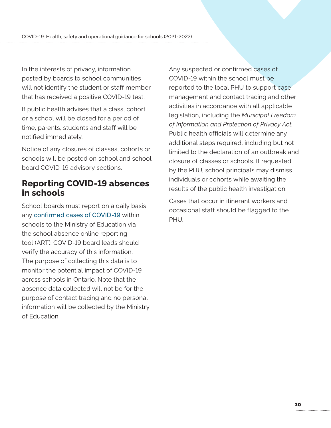In the interests of privacy, information posted by boards to school communities will not identify the student or staff member that has received a positive COVID-19 test.

If public health advises that a class, cohort or a school will be closed for a period of time, parents, students and staff will be notified immediately.

Notice of any closures of classes, cohorts or schools will be posted on school and school board COVID-19 advisory sections.

# **Reporting COVID-19 absences in schools**

School boards must report on a daily basis any [confirmed cases of COVID-19](http://www.health.gov.on.ca/en/pro/programs/publichealth/coronavirus/docs/2019_case_definition.pdf) within schools to the Ministry of Education via the school absence online reporting tool (ART). COVID-19 board leads should verify the accuracy of this information. The purpose of collecting this data is to monitor the potential impact of COVID-19 across schools in Ontario. Note that the absence data collected will not be for the purpose of contact tracing and no personal information will be collected by the Ministry of Education.

Any suspected or confirmed cases of COVID-19 within the school must be reported to the local PHU to support case management and contact tracing and other activities in accordance with all applicable legislation, including the *[Municipal Freedom](https://www.ontario.ca/laws/statute/90m56)  [of Information and Protection of Privacy Act](https://www.ontario.ca/laws/statute/90m56).* Public health officials will determine any additional steps required, including but not limited to the declaration of an outbreak and closure of classes or schools. If requested by the PHU, school principals may dismiss individuals or cohorts while awaiting the results of the public health investigation.

Cases that occur in itinerant workers and occasional staff should be flagged to the PHU.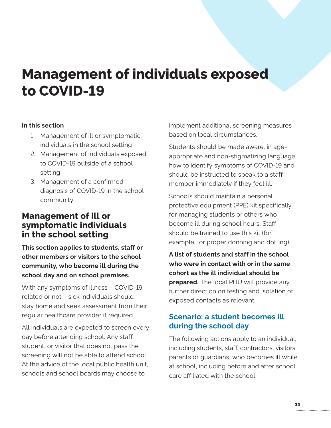# <span id="page-32-0"></span>**Management of individuals exposed to COVID-19**

#### **In this section**

- 1. Management of ill or symptomatic individuals in the school setting
- 2. Management of individuals exposed to COVID-19 outside of a school setting
- 3. Management of a confirmed diagnosis of COVID-19 in the school community

# **Management of ill or symptomatic individuals in the school setting**

**This section applies to students, staff or other members or visitors to the school community, who become ill during the school day and on school premises.**

With any symptoms of illness – COVID-19 related or not – sick individuals should stay home and seek assessment from their regular healthcare provider if required.

All individuals are expected to screen every day before attending school. Any staff, student, or visitor that does not pass the screening will not be able to attend school. At the advice of the local public health unit, schools and school boards may choose to

implement additional screening measures based on local circumstances.

Students should be made aware, in ageappropriate and non-stigmatizing language, how to identify symptoms of COVID-19 and should be instructed to speak to a staff member immediately if they feel ill.

Schools should maintain a personal protective equipment (PPE) kit specifically for managing students or others who become ill during school hours. Staff should be trained to use this kit (for example, for proper donning and doffing).

**A list of students and staff in the school who were in contact with or in the same cohort as the ill individual should be prepared.** The local PHU will provide any further direction on testing and isolation of exposed contacts as relevant.

### **Scenario: a student becomes ill during the school day**

The following actions apply to an individual, including students, staff, contractors, visitors, parents or guardians, who becomes ill while at school, including before and after school care affiliated with the school.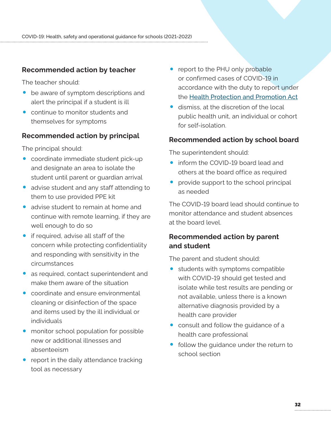#### **Recommended action by teacher**

The teacher should:

- be aware of symptom descriptions and alert the principal if a student is ill
- continue to monitor students and themselves for symptoms

#### **Recommended action by principal**

The principal should:

- coordinate immediate student pick-up and designate an area to isolate the student until parent or guardian arrival
- advise student and any staff attending to them to use provided PPE kit
- advise student to remain at home and continue with remote learning, if they are well enough to do so
- if required, advise all staff of the concern while protecting confidentiality and responding with sensitivity in the circumstances
- as required, contact superintendent and make them aware of the situation
- coordinate and ensure environmental cleaning or disinfection of the space and items used by the ill individual or individuals
- monitor school population for possible new or additional illnesses and absenteeism
- report in the daily attendance tracking tool as necessary
- report to the PHU only probable or confirmed cases of COVID-19 in accordance with the duty to report under the [Health Protection and Promotion Act](https://www.ontario.ca/laws/statute/90h07)
- dismiss, at the discretion of the local public health unit, an individual or cohort for self-isolation.

#### **Recommended action by school board**

The superintendent should:

- inform the COVID-19 board lead and others at the board office as required
- provide support to the school principal as needed

The COVID-19 board lead should continue to monitor attendance and student absences at the board level.

#### **Recommended action by parent and student**

The parent and student should:

- students with symptoms compatible with COVID-19 should get tested and isolate while test results are pending or not available, unless there is a known alternative diagnosis provided by a health care provider
- consult and follow the quidance of a health care professional
- follow the guidance under the return to school section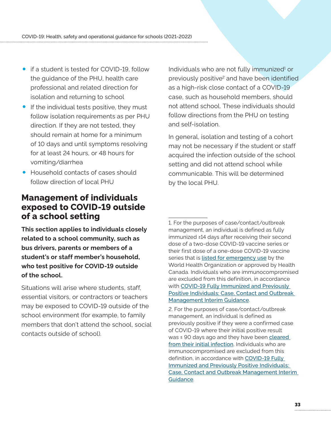- if a student is tested for COVID-19, follow the guidance of the PHU, health care professional and related direction for isolation and returning to school
- If the individual tests positive, they must follow isolation requirements as per PHU direction. If they are not tested, they should remain at home for a minimum of 10 days and until symptoms resolving for at least 24 hours, or 48 hours for vomiting/diarrhea
- Household contacts of cases should follow direction of local PHU

# **Management of individuals exposed to COVID-19 outside of a school setting**

**This section applies to individuals closely related to a school community, such as bus drivers, parents or members of a student's or staff member's household, who test positive for COVID-19 outside of the school.**

Situations will arise where students, staff, essential visitors, or contractors or teachers may be exposed to COVID-19 outside of the school environment (for example, to family members that don't attend the school, social contacts outside of school).

Individuals who are not fully immunized<sup>1</sup> or previously positive<sup>2</sup> and have been identified as a high-risk close contact of a COVID-19 case, such as household members, should not attend school. These individuals should follow directions from the PHU on testing and self-isolation.

In general, isolation and testing of a cohort may not be necessary if the student or staff acquired the infection outside of the school setting and did not attend school while communicable. This will be determined by the local PHU.

1. For the purposes of case/contact/outbreak management, an individual is defined as fully immunized ≥14 days after receiving their second dose of a two-dose COVID-19 vaccine series or their first dose of a one-dose COVID-19 vaccine series that is [listed for emergency use](https://www.who.int/teams/regulation-prequalification/eul/covid-19) by the World Health Organization or approved by Health Canada. Individuals who are immunocompromised are excluded from this definition, in accordance with [COVID-19 Fully Immunized and Previously](https://www.health.gov.on.ca/en/pro/programs/publichealth/coronavirus/docs/contact_mngmt/COVID-19_fully_vaccinated_interim_guidance.pdf)  [Positive Individuals: Case, Contact and Outbreak](https://www.health.gov.on.ca/en/pro/programs/publichealth/coronavirus/docs/contact_mngmt/COVID-19_fully_vaccinated_interim_guidance.pdf)  [Management Interim Guidance](https://www.health.gov.on.ca/en/pro/programs/publichealth/coronavirus/docs/contact_mngmt/COVID-19_fully_vaccinated_interim_guidance.pdf).

<sup>2.</sup> For the purposes of case/contact/outbreak management, an individual is defined as previously positive if they were a confirmed case of COVID-19 where their initial positive result was ≤ 90 days ago and they have been cleared [from their initial infection](https://www.health.gov.on.ca/en/pro/programs/publichealth/coronavirus/docs/2019_testing_clearing_cases_guidance.pdf). Individuals who are immunocompromised are excluded from this definition, in accordance with [COVID-19 Fully](https://www.health.gov.on.ca/en/pro/programs/publichealth/coronavirus/docs/contact_mngmt/COVID-19_fully_vaccinated_interim_guidance.pdf)  [Immunized and Previously Positive Individuals:](https://www.health.gov.on.ca/en/pro/programs/publichealth/coronavirus/docs/contact_mngmt/COVID-19_fully_vaccinated_interim_guidance.pdf)  [Case, Contact and Outbreak Management Interim](https://www.health.gov.on.ca/en/pro/programs/publichealth/coronavirus/docs/contact_mngmt/COVID-19_fully_vaccinated_interim_guidance.pdf)  [Guidance](https://www.health.gov.on.ca/en/pro/programs/publichealth/coronavirus/docs/contact_mngmt/COVID-19_fully_vaccinated_interim_guidance.pdf).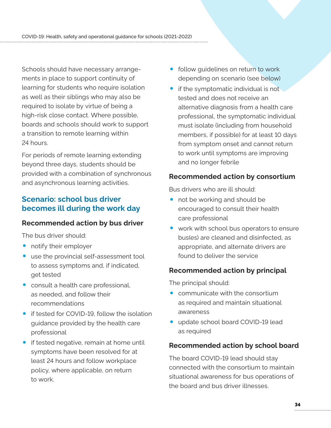Schools should have necessary arrangements in place to support continuity of learning for students who require isolation as well as their siblings who may also be required to isolate by virtue of being a high-risk close contact. Where possible, boards and schools should work to support a transition to remote learning within 24 hours.

For periods of remote learning extending beyond three days, students should be provided with a combination of synchronous and asynchronous learning activities.

#### **Scenario: school bus driver becomes ill during the work day**

#### **Recommended action by bus driver**

The bus driver should:

- notify their employer
- use the provincial self-assessment tool to assess symptoms and, if indicated, get tested
- consult a health care professional, as needed, and follow their recommendations
- **•** if tested for COVID-19, follow the isolation guidance provided by the health care professional
- if tested negative, remain at home until symptoms have been resolved for at least 24 hours and follow workplace policy, where applicable, on return to work.
- follow guidelines on return to work depending on scenario (see below)
- if the symptomatic individual is not tested and does not receive an alternative diagnosis from a health care professional, the symptomatic individual must isolate (including from household members, if possible) for at least 10 days from symptom onset and cannot return to work until symptoms are improving and no longer febrile

#### **Recommended action by consortium**

Bus drivers who are ill should:

- not be working and should be encouraged to consult their health care professional
- work with school bus operators to ensure bus(es) are cleaned and disinfected, as appropriate, and alternate drivers are found to deliver the service

#### **Recommended action by principal**

The principal should:

- communicate with the consortium as required and maintain situational awareness
- update school board COVID-19 lead as required

#### **Recommended action by school board**

The board COVID-19 lead should stay connected with the consortium to maintain situational awareness for bus operations of the board and bus driver illnesses.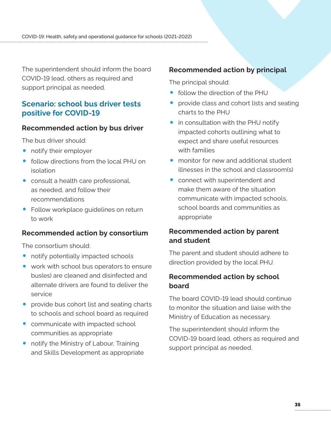The superintendent should inform the board COVID-19 lead, others as required and support principal as needed.

#### **Scenario: school bus driver tests positive for COVID-19**

#### **Recommended action by bus driver**

The bus driver should:

- notify their employer
- follow directions from the local PHU on isolation
- consult a health care professional, as needed, and follow their recommendations
- Follow workplace guidelines on return to work

#### **Recommended action by consortium**

The consortium should:

- notify potentially impacted schools
- work with school bus operators to ensure bus(es) are cleaned and disinfected and alternate drivers are found to deliver the service
- provide bus cohort list and seating charts to schools and school board as required
- communicate with impacted school communities as appropriate
- notify the Ministry of Labour, Training and Skills Development as appropriate

#### **Recommended action by principal**

The principal should:

- follow the direction of the PHU
- provide class and cohort lists and seating charts to the PHU
- in consultation with the PHU notify impacted cohorts outlining what to expect and share useful resources with families
- monitor for new and additional student illnesses in the school and classroom(s)
- connect with superintendent and make them aware of the situation communicate with impacted schools, school boards and communities as appropriate

#### **Recommended action by parent and student**

The parent and student should adhere to direction provided by the local PHU.

#### **Recommended action by school board**

The board COVID-19 lead should continue to monitor the situation and liaise with the Ministry of Education as necessary.

The superintendent should inform the COVID-19 board lead, others as required and support principal as needed.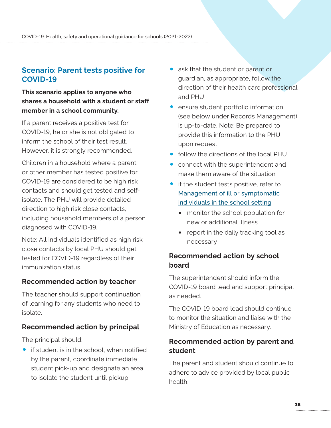### **Scenario: Parent tests positive for COVID-19**

**This scenario applies to anyone who shares a household with a student or staff member in a school community.**

If a parent receives a positive test for COVID-19, he or she is not obligated to inform the school of their test result. However, it is strongly recommended.

Children in a household where a parent or other member has tested positive for COVID-19 are considered to be high risk contacts and should get tested and selfisolate. The PHU will provide detailed direction to high risk close contacts, including household members of a person diagnosed with COVID-19.

Note: All individuals identified as high risk close contacts by local PHU should get tested for COVID-19 regardless of their immunization status.

#### **Recommended action by teacher**

The teacher should support continuation of learning for any students who need to isolate.

#### **Recommended action by principal**

The principal should:

• if student is in the school, when notified by the parent, coordinate immediate student pick-up and designate an area to isolate the student until pickup

- ask that the student or parent or guardian, as appropriate, follow the direction of their health care professional and PHU
- ensure student portfolio information (see below under Records Management) is up-to-date. Note: Be prepared to provide this information to the PHU upon request
- follow the directions of the local PHU
- connect with the superintendent and make them aware of the situation
- if the student tests positive, refer to [Management of ill or symptomatic](#page-32-0)  [individuals in the school setting](#page-32-0)
	- monitor the school population for new or additional illness
	- report in the daily tracking tool as necessary

#### **Recommended action by school board**

The superintendent should inform the COVID-19 board lead and support principal as needed.

The COVID-19 board lead should continue to monitor the situation and liaise with the Ministry of Education as necessary.

#### **Recommended action by parent and student**

The parent and student should continue to adhere to advice provided by local public health.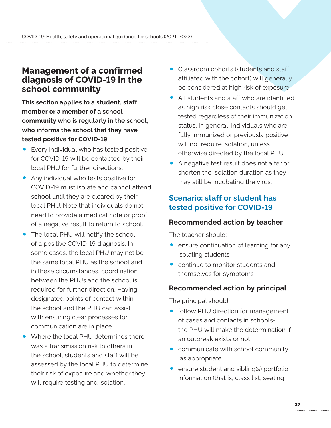# **Management of a confirmed diagnosis of COVID-19 in the school community**

**This section applies to a student, staff member or a member of a school community who is regularly in the school, who informs the school that they have tested positive for COVID-19.**

- Every individual who has tested positive for COVID-19 will be contacted by their local PHU for further directions.
- Any individual who tests positive for COVID-19 must isolate and cannot attend school until they are cleared by their local PHU. Note that individuals do not need to provide a medical note or proof of a negative result to return to school.
- The local PHU will notify the school of a positive COVID-19 diagnosis. In some cases, the local PHU may not be the same local PHU as the school and in these circumstances, coordination between the PHUs and the school is required for further direction. Having designated points of contact within the school and the PHU can assist with ensuring clear processes for communication are in place.
- Where the local PHU determines there was a transmission risk to others in the school, students and staff will be assessed by the local PHU to determine their risk of exposure and whether they will require testing and isolation.
- Classroom cohorts (students and staff affiliated with the cohort) will generally be considered at high risk of exposure.
- All students and staff who are identified as high risk close contacts should get tested regardless of their immunization status. In general, individuals who are fully immunized or previously positive will not require isolation, unless otherwise directed by the local PHU.
- A negative test result does not alter or shorten the isolation duration as they may still be incubating the virus.

#### **Scenario: staff or student has tested positive for COVID-19**

#### **Recommended action by teacher**

The teacher should:

- ensure continuation of learning for any isolating students
- continue to monitor students and themselves for symptoms

#### **Recommended action by principal**

The principal should:

- follow PHU direction for management of cases and contacts in schoolsthe PHU will make the determination if an outbreak exists or not
- communicate with school community as appropriate
- ensure student and sibling(s) portfolio information (that is, class list, seating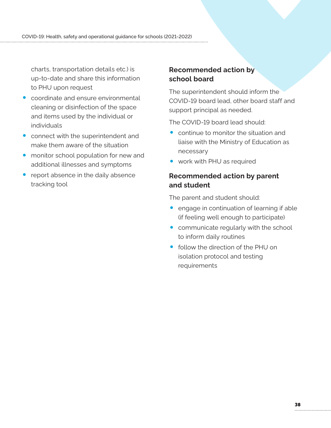charts, transportation details etc.) is up-to-date and share this information to PHU upon request

- coordinate and ensure environmental cleaning or disinfection of the space and items used by the individual or individuals
- connect with the superintendent and make them aware of the situation
- monitor school population for new and additional illnesses and symptoms
- report absence in the daily absence tracking tool

#### **Recommended action by school board**

The superintendent should inform the COVID-19 board lead, other board staff and support principal as needed.

The COVID-19 board lead should:

- continue to monitor the situation and liaise with the Ministry of Education as necessary
- work with PHU as required

#### **Recommended action by parent and student**

The parent and student should:

- engage in continuation of learning if able (if feeling well enough to participate)
- communicate regularly with the school to inform daily routines
- follow the direction of the PHU on isolation protocol and testing requirements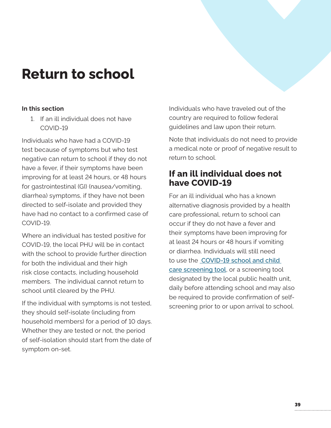# <span id="page-40-0"></span>**Return to school**

#### **In this section**

1. If an ill individual does not have COVID-19

Individuals who have had a COVID-19 test because of symptoms but who test negative can return to school if they do not have a fever, if their symptoms have been improving for at least 24 hours, or 48 hours for gastrointestinal (GI) (nausea/vomiting, diarrhea) symptoms, if they have not been directed to self-isolate and provided they have had no contact to a confirmed case of COVID-19.

Where an individual has tested positive for COVID-19, the local PHU will be in contact with the school to provide further direction for both the individual and their high risk close contacts, including household members. The individual cannot return to school until cleared by the PHU.

If the individual with symptoms is not tested, they should self-isolate (including from household members) for a period of 10 days. Whether they are tested or not, the period of self-isolation should start from the date of symptom on-set.

Individuals who have traveled out of the country are required to follow federal guidelines and law upon their return.

Note that individuals do not need to provide a medical note or proof of negative result to return to school.

# **If an ill individual does not have COVID-19**

For an ill individual who has a known alternative diagnosis provided by a health care professional, return to school can occur if they do not have a fever and their symptoms have been improving for at least 24 hours or 48 hours if vomiting or diarrhea. Individuals will still need to use the  [COVID-19 school and child](https://covid-19.ontario.ca/school-screening/)  [care screening tool](https://covid-19.ontario.ca/school-screening/), or a screening tool designated by the local public health unit, daily before attending school and may also be required to provide confirmation of selfscreening prior to or upon arrival to school.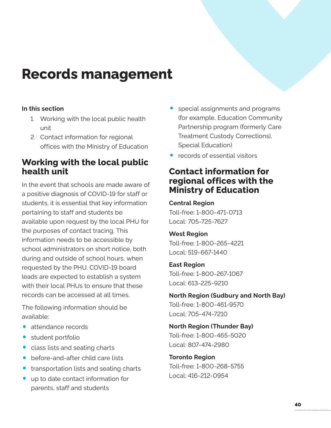# <span id="page-41-0"></span>**Records management**

#### **In this section**

- 1. Working with the local public health unit
- 2. Contact information for regional offices with the Ministry of Education

# **Working with the local public health unit**

In the event that schools are made aware of a positive diagnosis of COVID-19 for staff or students, it is essential that key information pertaining to staff and students be available upon request by the local PHU for the purposes of contact tracing. This information needs to be accessible by school administrators on short notice, both during and outside of school hours, when requested by the PHU. COVID-19 board leads are expected to establish a system with their local PHUs to ensure that these records can be accessed at all times.

The following information should be available:

- attendance records
- student portfolio
- class lists and seating charts
- before-and-after child care lists
- transportation lists and seating charts
- up to date contact information for parents, staff and students
- special assignments and programs (for example, Education Community Partnership program (formerly Care Treatment Custody Corrections), Special Education)
- records of essential visitors

# **Contact information for regional offices with the Ministry of Education**

**Central Region** Toll-free: 1-800-471-0713 Local: 705-725-7627

#### **West Region**

Toll-free: 1-800-265-4221 Local: 519-667-1440

#### **East Region**

Toll-free: 1-800-267-1067 Local: 613-225-9210

# **North Region (Sudbury and North Bay)**

Toll-free: 1-800-461-9570 Local: 705-474-7210

**North Region (Thunder Bay)** Toll-free: 1-800-465-5020 Local: 807-474-2980

**Toronto Region** Toll-free: 1-800-268-5755 Local: 416-212-0954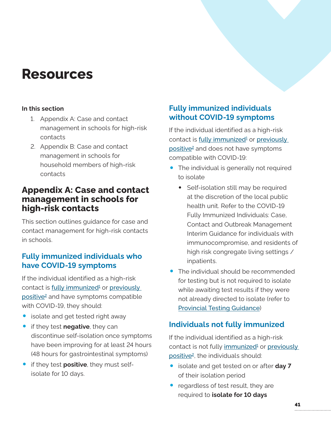# <span id="page-42-0"></span>**Resources**

#### **In this section**

- 1. Appendix A: Case and contact management in schools for high-risk contacts
- 2. Appendix B: Case and contact management in schools for household members of high-risk contacts

# **Appendix A: Case and contact management in schools for high-risk contacts**

This section outlines guidance for case and contact management for high-risk contacts in schools.

### **Fully immunized individuals who have COVID-19 symptoms**

If the individual identified as a high-risk contact is <u>fully immunized<sup>1</sup></u> or <u>previously</u> positive<sup>2</sup> and have symptoms compatible with COVID-19, they should:

- isolate and get tested right away
- if they test **negative**, they can discontinue self-isolation once symptoms have been improving for at least 24 hours (48 hours for gastrointestinal symptoms)
- if they test **positive**, they must selfisolate for 10 days.

# **Fully immunized individuals without COVID-19 symptoms**

If the individual identified as a high-risk contact is fully immunized<sup>1</sup> or previously positive<sup>2</sup> and does not have symptoms compatible with COVID-19:

- The individual is generally not required to isolate
	- Self-isolation still may be required at the discretion of the local public health unit. Refer to the COVID-19 Fully Immunized Individuals: Case, Contact and Outbreak Management Interim Guidance for individuals with immunocompromise, and residents of high risk congregate living settings / inpatients.
- The individual should be recommended for testing but is not required to isolate while awaiting test results if they were not already directed to isolate (refer to [Provincial Testing Guidance](https://www.health.gov.on.ca/en/pro/programs/publichealth/coronavirus/docs/2019_testing_guidance.pdf))

# **Individuals not fully immunized**

If the individual identified as a high-risk contact is not fully immunized<sup>1</sup> or previously positive<sup>2</sup>, the individuals should:

- isolate and get tested on or after **day 7** of their isolation period
- regardless of test result, they are required to **isolate for 10 days**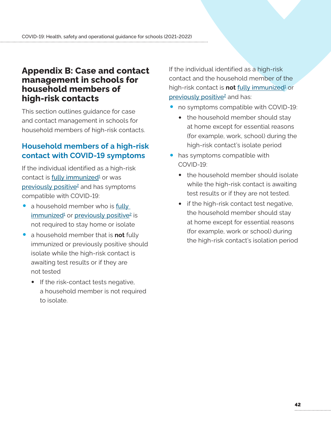### **Appendix B: Case and contact management in schools for household members of high-risk contacts**

This section outlines guidance for case and contact management in schools for household members of high-risk contacts.

### **Household members of a high-risk contact with COVID-19 symptoms**

If the individual identified as a high-risk contact is <u>fully immunized</u>1 or was previously positive<sup>2</sup> and has symptoms compatible with COVID-19:

- a household member who is fully immunized<sup>1</sup> or previously positive<sup>2</sup> is not required to stay home or isolate
- a household member that is **not** fully immunized or previously positive should isolate while the high-risk contact is awaiting test results or if they are not tested
	- If the risk-contact tests negative, a household member is not required to isolate.

If the individual identified as a high-risk contact and the household member of the high-risk contact is **not** fully immunized<sup>1</sup> or previously positive<sup>2</sup> and has:

- no symptoms compatible with COVID-19:
	- the household member should stay at home except for essential reasons (for example, work, school) during the high-risk contact's isolate period
- has symptoms compatible with COVID-19:
	- the household member should isolate while the high-risk contact is awaiting test results or if they are not tested.
	- if the high-risk contact test negative, the household member should stay at home except for essential reasons (for example, work or school) during the high-risk contact's isolation period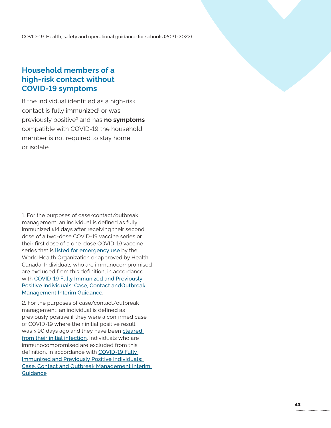#### <span id="page-44-0"></span>**Household members of a high-risk contact without COVID-19 symptoms**

If the individual identified as a high-risk contact is fully immunized<sup>1</sup> or was previously positive 2 and has **no symptoms** compatible with COVID-19 the household member is not required to stay home or isolate .

1 . For the purposes of case/contact/outbreak management, an individual is defined as fully immunized ≥14 days after receiving their second dose of a two-dose COVID-19 vaccine series or their first dose of a one-dose COVID-19 vaccine series that is [listed for emergency use](https://www.who.int/teams/regulation-prequalification/eul/covid-19) by the World Health Organization or approved by Health Canada . Individuals who are immunocompromised are excluded from this definition, in accordance with [COVID-19 Fully Immunized and Previously](https://www.health.gov.on.ca/en/pro/programs/publichealth/coronavirus/docs/contact_mngmt/COVID-19_fully_vaccinated_interim_guidance.pdf)  [Positive Individuals: Case, Contact andOutbreak](https://www.health.gov.on.ca/en/pro/programs/publichealth/coronavirus/docs/contact_mngmt/COVID-19_fully_vaccinated_interim_guidance.pdf)  [Management Interim Guidance](https://www.health.gov.on.ca/en/pro/programs/publichealth/coronavirus/docs/contact_mngmt/COVID-19_fully_vaccinated_interim_guidance.pdf) .

2 . For the purposes of case/contact/outbreak management, an individual is defined as previously positive if they were a confirmed case of COVID-19 where their initial positive result was ≤ 90 days ago and they have been cleared [from their initial infection](https://www.health.gov.on.ca/en/pro/programs/publichealth/coronavirus/docs/2019_testing_clearing_cases_guidance.pdf). Individuals who are immunocompromised are excluded from this definition, in accordance with [COVID-19 Fully](https://www.health.gov.on.ca/en/pro/programs/publichealth/coronavirus/docs/contact_mngmt/COVID-19_fully_vaccinated_interim_guidance.pdf)  [Immunized and Previously Positive Individuals:](https://www.health.gov.on.ca/en/pro/programs/publichealth/coronavirus/docs/contact_mngmt/COVID-19_fully_vaccinated_interim_guidance.pdf)  [Case, Contact and Outbreak Management Interim](https://www.health.gov.on.ca/en/pro/programs/publichealth/coronavirus/docs/contact_mngmt/COVID-19_fully_vaccinated_interim_guidance.pdf)  [Guidance](https://www.health.gov.on.ca/en/pro/programs/publichealth/coronavirus/docs/contact_mngmt/COVID-19_fully_vaccinated_interim_guidance.pdf) .